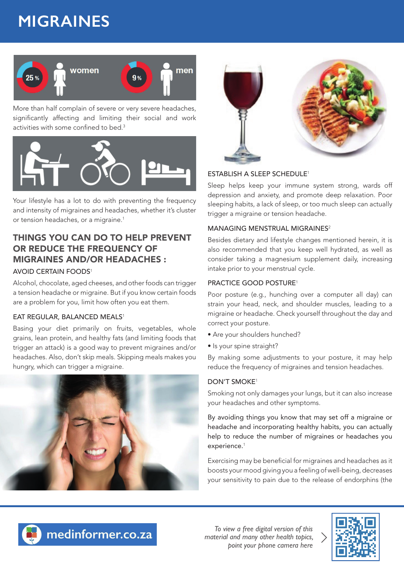# **MIGRAINES**



More than half complain of severe or very severe headaches, significantly affecting and limiting their social and work activities with some confined to bed. $3$ 



Your lifestyle has a lot to do with preventing the frequency and intensity of migraines and headaches, whether it's cluster or tension headaches, or a migraine.<sup>1</sup>

## THINGS YOU CAN DO TO HELP PREVENT OR REDUCE THE FREQUENCY OF MIGRAINES AND/OR HEADACHES : AVOID CERTAIN FOODS<sup>1</sup>

Alcohol, chocolate, aged cheeses, and other foods can trigger a tension headache or migraine. But if you know certain foods are a problem for you, limit how often you eat them.

#### EAT REGULAR, BALANCED MEALS<sup>1</sup>

Basing your diet primarily on fruits, vegetables, whole grains, lean protein, and healthy fats (and limiting foods that trigger an attack) is a good way to prevent migraines and/or headaches. Also, don't skip meals. Skipping meals makes you hungry, which can trigger a migraine.





#### ESTABLISH A SLEEP SCHEDULE<sup>1</sup>

Sleep helps keep your immune system strong, wards off depression and anxiety, and promote deep relaxation. Poor sleeping habits, a lack of sleep, or too much sleep can actually trigger a migraine or tension headache.

#### MANAGING MENSTRUAL MIGRAINES<sup>2</sup>

Besides dietary and lifestyle changes mentioned herein, it is also recommended that you keep well hydrated, as well as consider taking a magnesium supplement daily, increasing intake prior to your menstrual cycle.

#### PRACTICE GOOD POSTURE<sup>1</sup>

Poor posture (e.g., hunching over a computer all day) can strain your head, neck, and shoulder muscles, leading to a migraine or headache. Check yourself throughout the day and correct your posture.

- Are your shoulders hunched?
- Is your spine straight?

By making some adjustments to your posture, it may help reduce the frequency of migraines and tension headaches.

#### DON'T SMOKE<sup>1</sup>

Smoking not only damages your lungs, but it can also increase your headaches and other symptoms.

By avoiding things you know that may set off a migraine or headache and incorporating healthy habits, you can actually help to reduce the number of migraines or headaches you experience.<sup>1</sup>

Exercising may be beneficial for migraines and headaches as it boosts your mood giving you a feeling of well-being, decreases your sensitivity to pain due to the release of endorphins (the



medinformer.co.za

*To view a free digital version of this material and many other health topics, point your phone camera here*